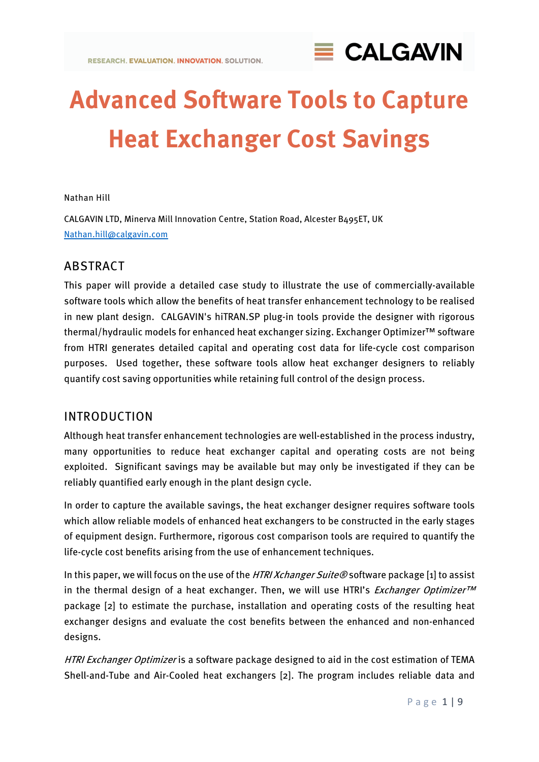

# **Advanced Software Tools to Capture Heat Exchanger Cost Savings**

#### Nathan Hill

CALGAVIN LTD, Minerva Mill Innovation Centre, Station Road, Alcester B495ET, UK [Nathan.hill@calgavin.com](mailto:Nathan.hill@calgavin.com)

## ABSTRACT

This paper will provide a detailed case study to illustrate the use of commercially-available software tools which allow the benefits of heat transfer enhancement technology to be realised in new plant design. CALGAVIN's hiTRAN.SP plug-in tools provide the designer with rigorous thermal/hydraulic models for enhanced heat exchanger sizing. Exchanger Optimizer™ software from HTRI generates detailed capital and operating cost data for life-cycle cost comparison purposes. Used together, these software tools allow heat exchanger designers to reliably quantify cost saving opportunities while retaining full control of the design process.

### INTRODUCTION

Although heat transfer enhancement technologies are well-established in the process industry, many opportunities to reduce heat exchanger capital and operating costs are not being exploited. Significant savings may be available but may only be investigated if they can be reliably quantified early enough in the plant design cycle.

In order to capture the available savings, the heat exchanger designer requires software tools which allow reliable models of enhanced heat exchangers to be constructed in the early stages of equipment design. Furthermore, rigorous cost comparison tools are required to quantify the life-cycle cost benefits arising from the use of enhancement techniques.

In this paper, we will focus on the use of the HTRI Xchanger Suite® software package [1] to assist in the thermal design of a heat exchanger. Then, we will use HTRI's *Exchanger Optimizer<sup>TM</sup>* package [2] to estimate the purchase, installation and operating costs of the resulting heat exchanger designs and evaluate the cost benefits between the enhanced and non-enhanced designs.

HTRI Exchanger Optimizer is a software package designed to aid in the cost estimation of TEMA Shell-and-Tube and Air-Cooled heat exchangers [2]. The program includes reliable data and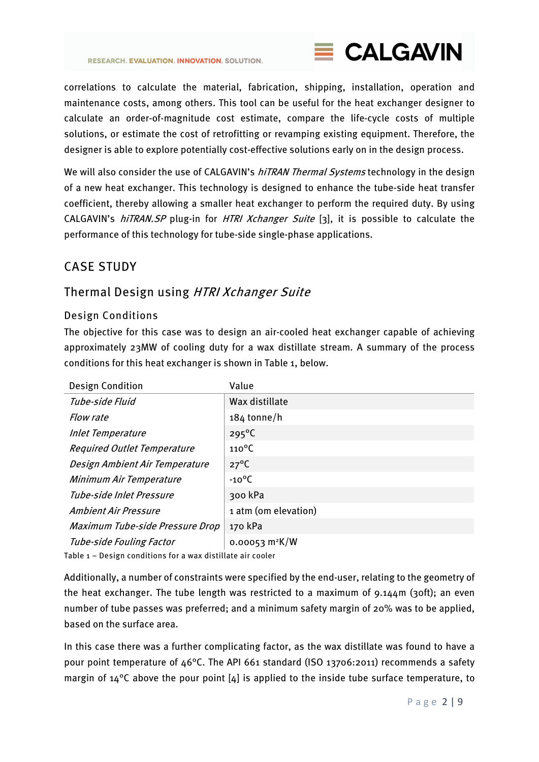

correlations to calculate the material, fabrication, shipping, installation, operation and maintenance costs, among others. This tool can be useful for the heat exchanger designer to calculate an order-of-magnitude cost estimate, compare the life-cycle costs of multiple solutions, or estimate the cost of retrofitting or revamping existing equipment. Therefore, the designer is able to explore potentially cost-effective solutions early on in the design process.

We will also consider the use of CALGAVIN's hiTRAN Thermal Systems technology in the design of a new heat exchanger. This technology is designed to enhance the tube-side heat transfer coefficient, thereby allowing a smaller heat exchanger to perform the required duty. By using CALGAVIN's *hiTRAN.SP* plug-in for *HTRI Xchanger Suite* [3], it is possible to calculate the performance of this technology for tube-side single-phase applications.

# CASE STUDY

# Thermal Design using HTRI Xchanger Suite

### Design Conditions

The objective for this case was to design an air-cooled heat exchanger capable of achieving approximately 23MW of cooling duty for a wax distillate stream. A summary of the process conditions for this heat exchanger is shown in [Table 1,](#page-1-0) below.

| <b>Design Condition</b>            | Value                        |
|------------------------------------|------------------------------|
| Tube-side Fluid                    | Wax distillate               |
| Flow rate                          | $184$ tonne/h                |
| <b>Inlet Temperature</b>           | $295^{\circ}$ C              |
| <b>Required Outlet Temperature</b> | $110^{\circ}$ C              |
| Design Ambient Air Temperature     | $27^{\circ}$ C               |
| Minimum Air Temperature            | $-10^{\circ}$ C              |
| Tube-side Inlet Pressure           | 300 kPa                      |
| Ambient Air Pressure               | 1 atm (om elevation)         |
| Maximum Tube-side Pressure Drop    | 170 kPa                      |
| Tube-side Fouling Factor           | $0.00053$ m <sup>2</sup> K/W |

<span id="page-1-0"></span>Table 1 – Design conditions for a wax distillate air cooler

Additionally, a number of constraints were specified by the end-user, relating to the geometry of the heat exchanger. The tube length was restricted to a maximum of 9.144m (30ft); an even number of tube passes was preferred; and a minimum safety margin of 20% was to be applied, based on the surface area.

In this case there was a further complicating factor, as the wax distillate was found to have a pour point temperature of 46°C. The API 661 standard (ISO 13706:2011) recommends a safety margin of  $14^{\circ}$ C above the pour point [4] is applied to the inside tube surface temperature, to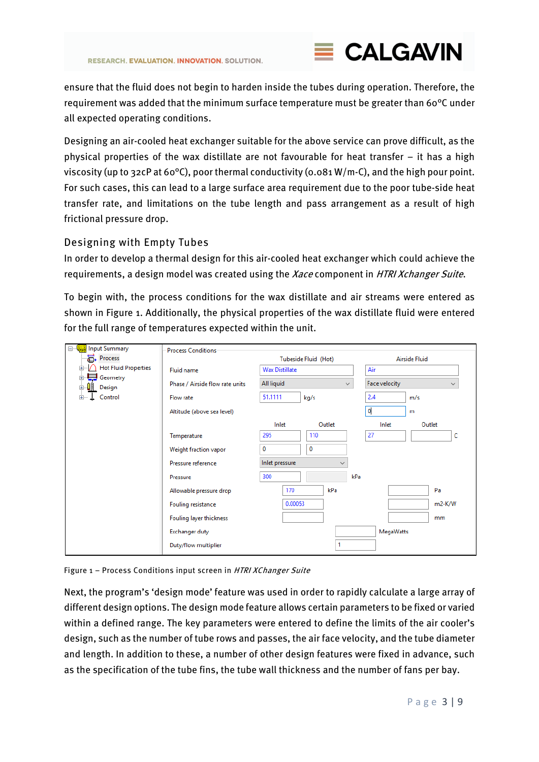

ensure that the fluid does not begin to harden inside the tubes during operation. Therefore, the requirement was added that the minimum surface temperature must be greater than 60°C under all expected operating conditions.

Designing an air-cooled heat exchanger suitable for the above service can prove difficult, as the physical properties of the wax distillate are not favourable for heat transfer – it has a high viscosity (up to 32cP at 60°C), poor thermal conductivity (0.081 W/m-C), and the high pour point. For such cases, this can lead to a large surface area requirement due to the poor tube-side heat transfer rate, and limitations on the tube length and pass arrangement as a result of high frictional pressure drop.

### Designing with Empty Tubes

In order to develop a thermal design for this air-cooled heat exchanger which could achieve the requirements, a design model was created using the Xace component in HTRI Xchanger Suite.

To begin with, the process conditions for the wax distillate and air streams were entered as shown in [Figure 1.](#page-2-0) Additionally, the physical properties of the wax distillate fluid were entered for the full range of temperatures expected within the unit.

| <b>Input Summary</b><br>Ξ.         | <b>Process Conditions</b>       |                       |               |     |                               |        |  |  |
|------------------------------------|---------------------------------|-----------------------|---------------|-----|-------------------------------|--------|--|--|
| <del>景</del> , Process             |                                 |                       | Airside Fluid |     |                               |        |  |  |
| <b>Hot Fluid Properties</b>        | Fluid name                      | <b>Wax Distillate</b> |               | Air |                               |        |  |  |
| Geometry<br>田<br>41<br>Design<br>田 | Phase / Airside flow rate units | All liquid            | $\checkmark$  |     | Face velocity<br>$\checkmark$ |        |  |  |
| Control                            | Flow rate                       | 51.1111               | kg/s          |     | 2.4                           | m/s    |  |  |
|                                    | Altitude (above sea level)      |                       |               |     | $\mathbf{0}$                  | m      |  |  |
|                                    |                                 | Inlet                 | Outlet        |     | Inlet                         | Outlet |  |  |
|                                    | Temperature                     | 295                   | 110           |     | 27                            | c      |  |  |
|                                    | Weight fraction vapor           | 0                     | 0             |     |                               |        |  |  |
|                                    | Pressure reference              | Inlet pressure        |               |     |                               |        |  |  |
|                                    | Pressure                        | 300                   |               | kPa |                               |        |  |  |
|                                    | Allowable pressure drop         | 170                   | kPa           |     |                               | Pa     |  |  |
|                                    | Fouling resistance              | 0.00053               |               |     |                               | m2-K/W |  |  |
|                                    | Fouling layer thickness         |                       |               |     |                               | mm     |  |  |
|                                    | <b>Exchanger duty</b>           |                       |               |     | <b>MegaWatts</b>              |        |  |  |
|                                    | Duty/flow multiplier            |                       |               |     |                               |        |  |  |

<span id="page-2-0"></span>Figure 1 - Process Conditions input screen in HTRI XChanger Suite

Next, the program's 'design mode' feature was used in order to rapidly calculate a large array of different design options. The design mode feature allows certain parameters to be fixed or varied within a defined range. The key parameters were entered to define the limits of the air cooler's design, such as the number of tube rows and passes, the air face velocity, and the tube diameter and length. In addition to these, a number of other design features were fixed in advance, such as the specification of the tube fins, the tube wall thickness and the number of fans per bay.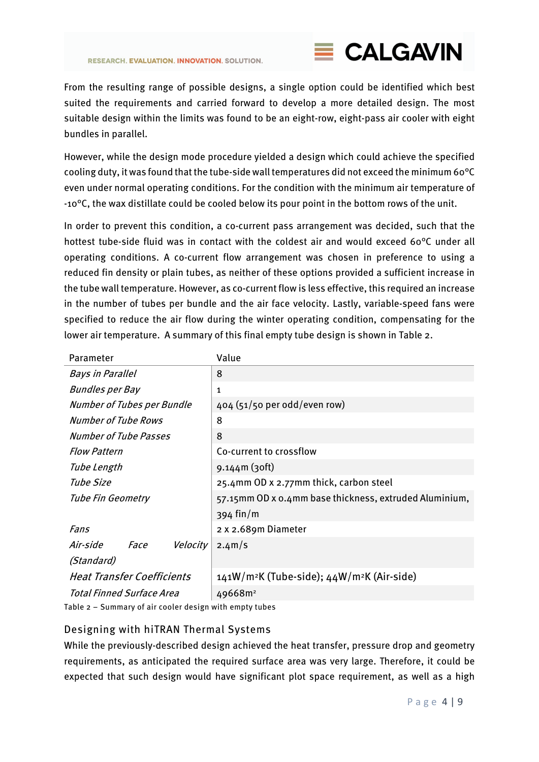

From the resulting range of possible designs, a single option could be identified which best suited the requirements and carried forward to develop a more detailed design. The most suitable design within the limits was found to be an eight-row, eight-pass air cooler with eight bundles in parallel.

However, while the design mode procedure yielded a design which could achieve the specified cooling duty, it was found that the tube-side wall temperatures did not exceed the minimum 60°C even under normal operating conditions. For the condition with the minimum air temperature of -10°C, the wax distillate could be cooled below its pour point in the bottom rows of the unit.

In order to prevent this condition, a co-current pass arrangement was decided, such that the hottest tube-side fluid was in contact with the coldest air and would exceed 60°C under all operating conditions. A co-current flow arrangement was chosen in preference to using a reduced fin density or plain tubes, as neither of these options provided a sufficient increase in the tube wall temperature. However, as co-current flow is less effective, this required an increase in the number of tubes per bundle and the air face velocity. Lastly, variable-speed fans were specified to reduce the air flow during the winter operating condition, compensating for the lower air temperature. A summary of this final empty tube design is shown i[n Table 2.](#page-3-0)

| Parameter                           | Value                                                              |  |  |  |  |  |
|-------------------------------------|--------------------------------------------------------------------|--|--|--|--|--|
| <b>Bays in Parallel</b>             | 8                                                                  |  |  |  |  |  |
| <b>Bundles per Bay</b>              | 1                                                                  |  |  |  |  |  |
| <b>Number of Tubes per Bundle</b>   | 404 (51/50 per odd/even row)                                       |  |  |  |  |  |
| <b>Number of Tube Rows</b>          | 8                                                                  |  |  |  |  |  |
| Number of Tube Passes               | 8                                                                  |  |  |  |  |  |
| <b>Flow Pattern</b>                 | Co-current to crossflow                                            |  |  |  |  |  |
| Tube Length                         | $9.144m(3$ oft)                                                    |  |  |  |  |  |
| Tube Size                           | 25.4mm OD x 2.77mm thick, carbon steel                             |  |  |  |  |  |
| <b>Tube Fin Geometry</b>            | 57.15mm OD x 0.4mm base thickness, extruded Aluminium,             |  |  |  |  |  |
|                                     | $394$ fin/m                                                        |  |  |  |  |  |
| Fans                                | 2 x 2.689m Diameter                                                |  |  |  |  |  |
| Air-side<br>Velocity<br><i>Face</i> | 2.4 <sup>m</sup> /s                                                |  |  |  |  |  |
| (Standard)                          |                                                                    |  |  |  |  |  |
| <b>Heat Transfer Coefficients</b>   | 141W/m <sup>2</sup> K (Tube-side); 44W/m <sup>2</sup> K (Air-side) |  |  |  |  |  |
| Total Finned Surface Area           | 49668m <sup>2</sup>                                                |  |  |  |  |  |

<span id="page-3-0"></span>Table 2 – Summary of air cooler design with empty tubes

### Designing with hiTRAN Thermal Systems

While the previously-described design achieved the heat transfer, pressure drop and geometry requirements, as anticipated the required surface area was very large. Therefore, it could be expected that such design would have significant plot space requirement, as well as a high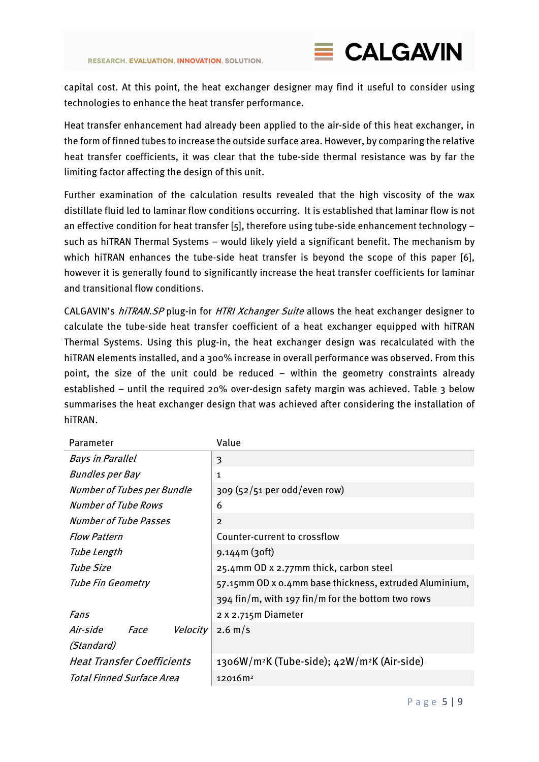

capital cost. At this point, the heat exchanger designer may find it useful to consider using technologies to enhance the heat transfer performance.

Heat transfer enhancement had already been applied to the air-side of this heat exchanger, in the form of finned tubes to increase the outside surface area. However, by comparing the relative heat transfer coefficients, it was clear that the tube-side thermal resistance was by far the limiting factor affecting the design of this unit.

Further examination of the calculation results revealed that the high viscosity of the wax distillate fluid led to laminar flow conditions occurring. It is established that laminar flow is not an effective condition for heat transfer [5], therefore using tube-side enhancement technology – such as hiTRAN Thermal Systems – would likely yield a significant benefit. The mechanism by which hiTRAN enhances the tube-side heat transfer is beyond the scope of this paper [6], however it is generally found to significantly increase the heat transfer coefficients for laminar and transitional flow conditions.

CALGAVIN's hiTRAN. SP plug-in for HTRI Xchanger Suite allows the heat exchanger designer to calculate the tube-side heat transfer coefficient of a heat exchanger equipped with hiTRAN Thermal Systems. Using this plug-in, the heat exchanger design was recalculated with the hiTRAN elements installed, and a 300% increase in overall performance was observed. From this point, the size of the unit could be reduced – within the geometry constraints already established – until the required 20% over-design safety margin was achieved. [Table 3](#page-5-0) below summarises the heat exchanger design that was achieved after considering the installation of hiTRAN.

| Parameter                         | Value                                                               |  |  |  |  |  |
|-----------------------------------|---------------------------------------------------------------------|--|--|--|--|--|
| <b>Bays in Parallel</b>           | 3                                                                   |  |  |  |  |  |
| <b>Bundles per Bay</b>            | 1                                                                   |  |  |  |  |  |
| <b>Number of Tubes per Bundle</b> | 309 (52/51 per odd/even row)                                        |  |  |  |  |  |
| <b>Number of Tube Rows</b>        | 6                                                                   |  |  |  |  |  |
| <b>Number of Tube Passes</b>      | $\overline{2}$                                                      |  |  |  |  |  |
| <b>Flow Pattern</b>               | Counter-current to crossflow                                        |  |  |  |  |  |
| Tube Length                       | $9.144m(3$ oft)                                                     |  |  |  |  |  |
| Tube Size                         | 25.4mm OD x 2.77mm thick, carbon steel                              |  |  |  |  |  |
| Tube Fin Geometry                 | 57.15mm OD x 0.4mm base thickness, extruded Aluminium,              |  |  |  |  |  |
|                                   | $394$ fin/m, with 197 fin/m for the bottom two rows                 |  |  |  |  |  |
| Fans                              | 2 x 2.715m Diameter                                                 |  |  |  |  |  |
| Face<br>Velocity<br>Air-side      | $2.6 \,\mathrm{m/s}$                                                |  |  |  |  |  |
| (Standard)                        |                                                                     |  |  |  |  |  |
| <b>Heat Transfer Coefficients</b> | 1306W/m <sup>2</sup> K (Tube-side); 42W/m <sup>2</sup> K (Air-side) |  |  |  |  |  |
| Total Finned Surface Area         | 12016m <sup>2</sup>                                                 |  |  |  |  |  |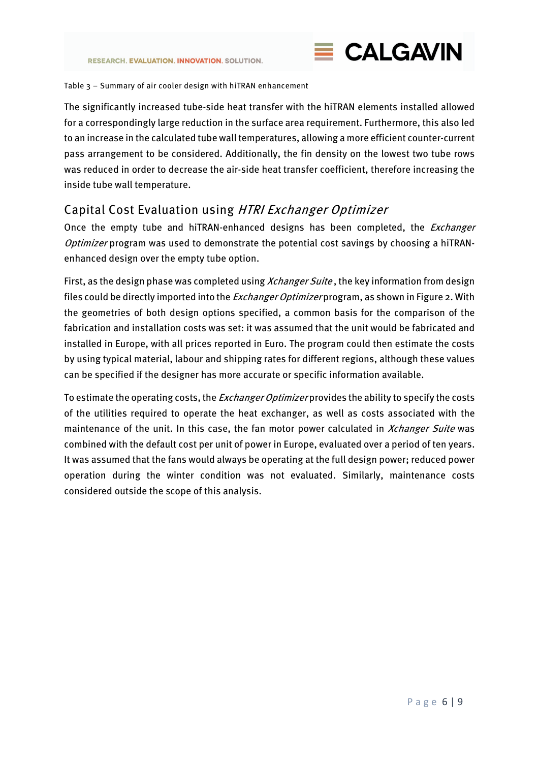

#### <span id="page-5-0"></span>Table 3 – Summary of air cooler design with hiTRAN enhancement

The significantly increased tube-side heat transfer with the hiTRAN elements installed allowed for a correspondingly large reduction in the surface area requirement. Furthermore, this also led to an increase in the calculated tube wall temperatures, allowing a more efficient counter-current pass arrangement to be considered. Additionally, the fin density on the lowest two tube rows was reduced in order to decrease the air-side heat transfer coefficient, therefore increasing the inside tube wall temperature.

## Capital Cost Evaluation using HTRI Exchanger Optimizer

Once the empty tube and hiTRAN-enhanced designs has been completed, the *Exchanger* Optimizer program was used to demonstrate the potential cost savings by choosing a hiTRANenhanced design over the empty tube option.

First, as the design phase was completed using *Xchanger Suite*, the key information from design files could be directly imported into the *Exchanger Optimizer* program, as shown i[n Figure 2.](#page-6-0) With the geometries of both design options specified, a common basis for the comparison of the fabrication and installation costs was set: it was assumed that the unit would be fabricated and installed in Europe, with all prices reported in Euro. The program could then estimate the costs by using typical material, labour and shipping rates for different regions, although these values can be specified if the designer has more accurate or specific information available.

To estimate the operating costs, the *Exchanger Optimizer* provides the ability to specify the costs of the utilities required to operate the heat exchanger, as well as costs associated with the maintenance of the unit. In this case, the fan motor power calculated in *Xchanger Suite* was combined with the default cost per unit of power in Europe, evaluated over a period of ten years. It was assumed that the fans would always be operating at the full design power; reduced power operation during the winter condition was not evaluated. Similarly, maintenance costs considered outside the scope of this analysis.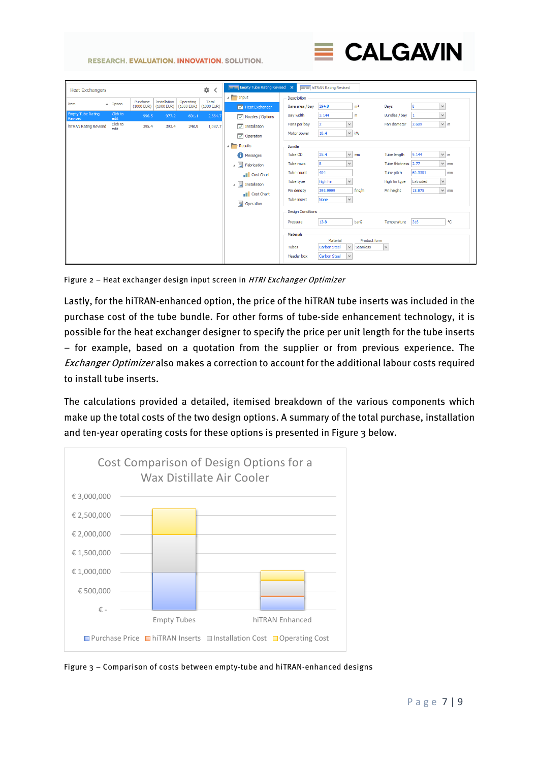**RESEARCH. EVALUATION. INNOVATION. SOLUTION.** 



|                                     | <b>Heat Exchangers</b> |                         |                          |                              |                           | 嚢<br>≺                | Empty Tube Rating Revised X                        |                          | <b>Example 15</b> https://www.pating.Revised |                |                     |                          |           |
|-------------------------------------|------------------------|-------------------------|--------------------------|------------------------------|---------------------------|-----------------------|----------------------------------------------------|--------------------------|----------------------------------------------|----------------|---------------------|--------------------------|-----------|
|                                     |                        |                         |                          |                              |                           |                       | $\overline{a}$ Input                               | Description              |                                              |                |                     |                          |           |
| Item                                |                        | $\blacktriangle$ Option | Purchase<br>$(1000$ EUR) | Installation<br>$(1000$ EUR) | Operating<br>$(1000$ EUR) | Total<br>$(1000$ EUR) | Heat Exchanger                                     | Bare area / bay          | 294.8                                        | m <sup>2</sup> | Bays                | 8<br>$\vee$              |           |
| Empty Tube Rating<br><b>Revised</b> |                        | Click to<br>edit        | 996.5                    | 977.2                        | 691.1                     | 2,664.7               | $\boxed{\smile}$ Nozzles / Options                 | Bay width                | 3.144                                        | m              | Bundles / bay       | $\checkmark$<br>1        |           |
| hiTRAN Rating Revised               |                        | Click to<br>edit        | 395.4                    | 393.4                        | 248.9                     | 1,037.7               | $\boxed{\smile}$ Installation                      | Fans per bay             | $\checkmark$<br>$\overline{2}$               |                | Fan diameter        | 2.689                    | $\vee$ m  |
|                                     |                        |                         |                          |                              |                           |                       | $\boxed{\smile}$ Operation                         | Motor power              | 10.4                                         | $\lor\,$ kW    |                     |                          |           |
|                                     |                        |                         |                          |                              |                           |                       | <b>A</b> Results                                   | <b>Bundle</b>            |                                              |                |                     |                          |           |
|                                     |                        |                         |                          |                              |                           |                       | <b>C</b> Messages                                  | Tube OD                  | 25.4                                         | $\times$ mm    | Tube length         | 9.144                    | $\vee$ m  |
|                                     |                        |                         |                          |                              |                           |                       | $\mathcal{A}$ $\overline{\mathcal{A}}$ Fabrication | <b>Tube rows</b>         | 8<br>$\vee$                                  |                | Tube thickness 2.77 |                          | $\vee$ mm |
|                                     |                        |                         |                          |                              |                           |                       | <b>Cost Chart</b>                                  | Tube count               | 404                                          |                | Tube pitch          | 60.3301                  | mm        |
|                                     |                        |                         |                          |                              |                           |                       | ⊿ 틂<br>Installation                                | Tube type                | $\vee$<br>High Fin                           |                | High fin type       | Extruded<br>$\checkmark$ |           |
|                                     |                        |                         |                          |                              |                           |                       | <b>Cost Chart</b>                                  | Fin density              | 393.9999                                     | fins/m         | Fin height          | 15.875                   | $\vee$ mm |
|                                     |                        |                         |                          |                              |                           |                       | 圓<br>Operation                                     | Tube insert              | $\vee$<br>None                               |                |                     |                          |           |
|                                     |                        |                         |                          |                              |                           |                       |                                                    | <b>Design Conditions</b> |                                              |                |                     |                          |           |
|                                     |                        |                         |                          |                              |                           |                       |                                                    | Pressure                 | 13.8                                         | barG           | Temperature 316     |                          | PC.       |
|                                     |                        |                         |                          |                              |                           |                       |                                                    | Materials                |                                              |                |                     |                          |           |
|                                     |                        |                         |                          |                              |                           |                       |                                                    |                          | Material                                     | Product form   |                     |                          |           |
|                                     |                        |                         |                          |                              |                           |                       |                                                    | Tubes                    | $\checkmark$<br>Carbon Steel                 | Seamless       | $\vee$              |                          |           |
|                                     |                        |                         |                          |                              |                           |                       |                                                    | <b>Header</b> box        | <b>Carbon Steel</b><br>$\checkmark$          |                |                     |                          |           |

<span id="page-6-0"></span>Figure 2 – Heat exchanger design input screen in HTRI Exchanger Optimizer

Lastly, for the hiTRAN-enhanced option, the price of the hiTRAN tube inserts was included in the purchase cost of the tube bundle. For other forms of tube-side enhancement technology, it is possible for the heat exchanger designer to specify the price per unit length for the tube inserts – for example, based on a quotation from the supplier or from previous experience. The Exchanger Optimizer also makes a correction to account for the additional labour costs required to install tube inserts.

The calculations provided a detailed, itemised breakdown of the various components which make up the total costs of the two design options. A summary of the total purchase, installation and ten-year operating costs for these options is presented i[n Figure 3](#page-6-1) below.



<span id="page-6-1"></span>Figure 3 – Comparison of costs between empty-tube and hiTRAN-enhanced designs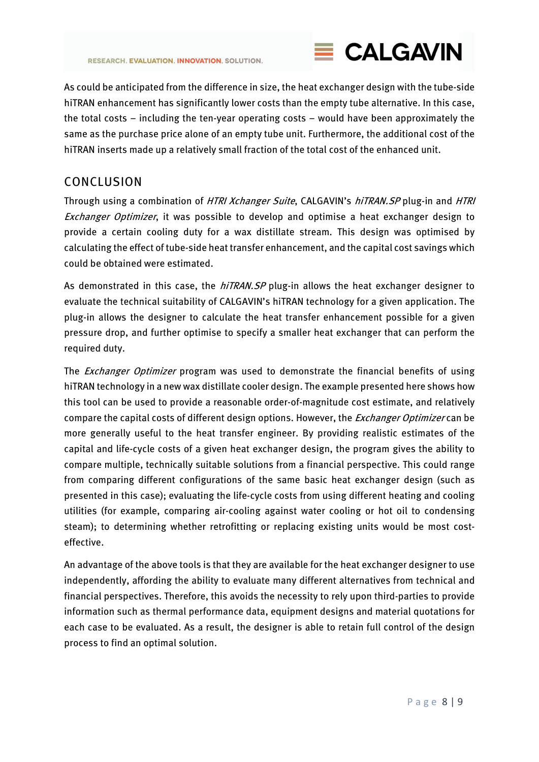

As could be anticipated from the difference in size, the heat exchanger design with the tube-side hiTRAN enhancement has significantly lower costs than the empty tube alternative. In this case, the total costs – including the ten-year operating costs – would have been approximately the same as the purchase price alone of an empty tube unit. Furthermore, the additional cost of the hiTRAN inserts made up a relatively small fraction of the total cost of the enhanced unit.

## CONCLUSION

Through using a combination of HTRI Xchanger Suite, CALGAVIN's hiTRAN. SP plug-in and HTRI **Exchanger Optimizer, it was possible to develop and optimise a heat exchanger design to** provide a certain cooling duty for a wax distillate stream. This design was optimised by calculating the effect of tube-side heat transfer enhancement, and the capital cost savings which could be obtained were estimated.

As demonstrated in this case, the hiTRAN.SP plug-in allows the heat exchanger designer to evaluate the technical suitability of CALGAVIN's hiTRAN technology for a given application. The plug-in allows the designer to calculate the heat transfer enhancement possible for a given pressure drop, and further optimise to specify a smaller heat exchanger that can perform the required duty.

The *Exchanger Optimizer* program was used to demonstrate the financial benefits of using hiTRAN technology in a new wax distillate cooler design. The example presented here shows how this tool can be used to provide a reasonable order-of-magnitude cost estimate, and relatively compare the capital costs of different design options. However, the *Exchanger Optimizer* can be more generally useful to the heat transfer engineer. By providing realistic estimates of the capital and life-cycle costs of a given heat exchanger design, the program gives the ability to compare multiple, technically suitable solutions from a financial perspective. This could range from comparing different configurations of the same basic heat exchanger design (such as presented in this case); evaluating the life-cycle costs from using different heating and cooling utilities (for example, comparing air-cooling against water cooling or hot oil to condensing steam); to determining whether retrofitting or replacing existing units would be most costeffective.

An advantage of the above tools is that they are available for the heat exchanger designer to use independently, affording the ability to evaluate many different alternatives from technical and financial perspectives. Therefore, this avoids the necessity to rely upon third-parties to provide information such as thermal performance data, equipment designs and material quotations for each case to be evaluated. As a result, the designer is able to retain full control of the design process to find an optimal solution.